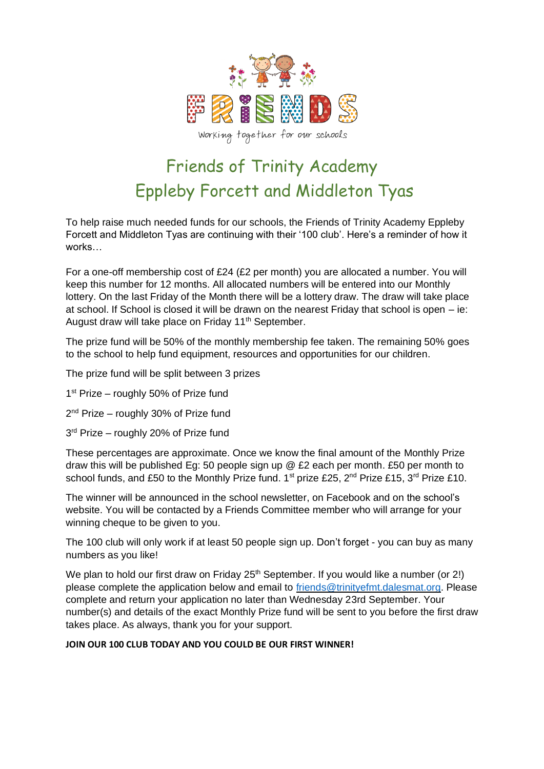

# Friends of Trinity Academy Eppleby Forcett and Middleton Tyas

To help raise much needed funds for our schools, the Friends of Trinity Academy Eppleby Forcett and Middleton Tyas are continuing with their '100 club'. Here's a reminder of how it works…

For a one-off membership cost of £24 (£2 per month) you are allocated a number. You will keep this number for 12 months. All allocated numbers will be entered into our Monthly lottery. On the last Friday of the Month there will be a lottery draw. The draw will take place at school. If School is closed it will be drawn on the nearest Friday that school is open – ie: August draw will take place on Friday 11<sup>th</sup> September.

The prize fund will be 50% of the monthly membership fee taken. The remaining 50% goes to the school to help fund equipment, resources and opportunities for our children.

The prize fund will be split between 3 prizes

1<sup>st</sup> Prize - roughly 50% of Prize fund

- 2<sup>nd</sup> Prize roughly 30% of Prize fund
- 3<sup>rd</sup> Prize roughly 20% of Prize fund

These percentages are approximate. Once we know the final amount of the Monthly Prize draw this will be published Eg: 50 people sign up @ £2 each per month. £50 per month to school funds, and £50 to the Monthly Prize fund.  $1^{st}$  prize £25,  $2^{nd}$  Prize £15,  $3^{rd}$  Prize £10.

The winner will be announced in the school newsletter, on Facebook and on the school's website. You will be contacted by a Friends Committee member who will arrange for your winning cheque to be given to you.

The 100 club will only work if at least 50 people sign up. Don't forget - you can buy as many numbers as you like!

We plan to hold our first draw on Friday 25<sup>th</sup> September. If you would like a number (or 2!) please complete the application below and email to [friends@trinityefmt.dalesmat.org.](mailto:friends@trinityefmt.dalesmat.org) Please complete and return your application no later than Wednesday 23rd September. Your number(s) and details of the exact Monthly Prize fund will be sent to you before the first draw takes place. As always, thank you for your support.

#### **JOIN OUR 100 CLUB TODAY AND YOU COULD BE OUR FIRST WINNER!**